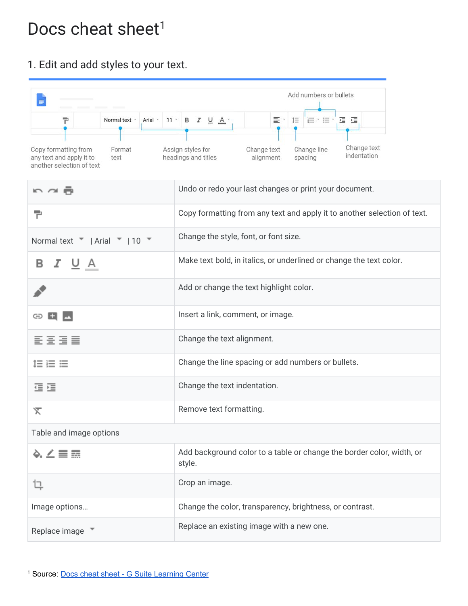## Docs cheat sheet<sup>1</sup>

## 1. Edit and add styles to your text.

| F<br>Normal text *<br>Arial *<br>Copy formatting from<br>Format<br>any text and apply it to<br>text<br>another selection of text | Add numbers or bullets<br>旧 * 目 <sup>3</sup> 運 運.<br>11 * B $I$ U $A$ *<br>를 *<br>$1\Xi$<br>Change text<br>Change line<br>Assign styles for<br>Change text<br>indentation<br>headings and titles<br>alignment<br>spacing |  |  |  |
|----------------------------------------------------------------------------------------------------------------------------------|--------------------------------------------------------------------------------------------------------------------------------------------------------------------------------------------------------------------------|--|--|--|
| n⊿ē                                                                                                                              | Undo or redo your last changes or print your document.                                                                                                                                                                   |  |  |  |
| 구                                                                                                                                | Copy formatting from any text and apply it to another selection of text.                                                                                                                                                 |  |  |  |
| Normal text "   Arial "   10 "                                                                                                   | Change the style, font, or font size.                                                                                                                                                                                    |  |  |  |
| <u> 7 ∪</u> A<br>в                                                                                                               | Make text bold, in italics, or underlined or change the text color.                                                                                                                                                      |  |  |  |
|                                                                                                                                  | Add or change the text highlight color.                                                                                                                                                                                  |  |  |  |
| ⊕                                                                                                                                | Insert a link, comment, or image.                                                                                                                                                                                        |  |  |  |
| 로토토토                                                                                                                             | Change the text alignment.                                                                                                                                                                                               |  |  |  |
| 1日 日 日                                                                                                                           | Change the line spacing or add numbers or bullets.                                                                                                                                                                       |  |  |  |
| 建理                                                                                                                               | Change the text indentation.                                                                                                                                                                                             |  |  |  |
| "⊼                                                                                                                               | Remove text formatting.                                                                                                                                                                                                  |  |  |  |
| Table and image options                                                                                                          |                                                                                                                                                                                                                          |  |  |  |
| ◆、∠言霊                                                                                                                            | Add background color to a table or change the border color, width, or<br>style.                                                                                                                                          |  |  |  |
| ւ                                                                                                                                | Crop an image.                                                                                                                                                                                                           |  |  |  |
| Image options                                                                                                                    | Change the color, transparency, brightness, or contrast.                                                                                                                                                                 |  |  |  |
| Replace image *                                                                                                                  | Replace an existing image with a new one.                                                                                                                                                                                |  |  |  |

<sup>&</sup>lt;sup>1</sup> Source: **Docs cheat sheet - G Suite [Learning](https://support.google.com/a/users/answer/9299931) Center**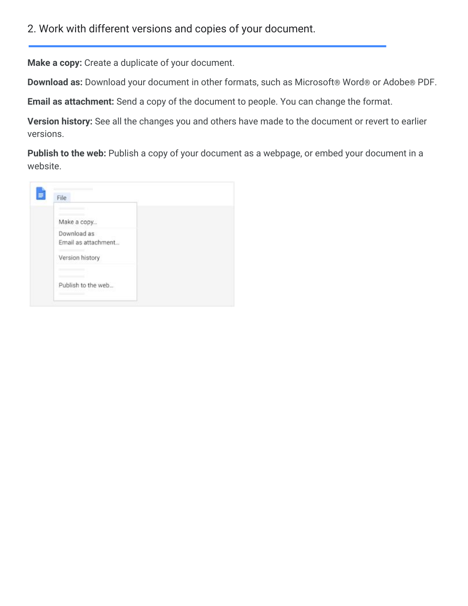**Make a copy:** Create a duplicate of your document.

**Download as:** Download your document in other formats, such as Microsoft® Word® or Adobe® PDF.

**Email as attachment:** Send a copy of the document to people. You can change the format.

**Version history:** See all the changes you and others have made to the document or revert to earlier versions.

Publish to the web: Publish a copy of your document as a webpage, or embed your document in a website.

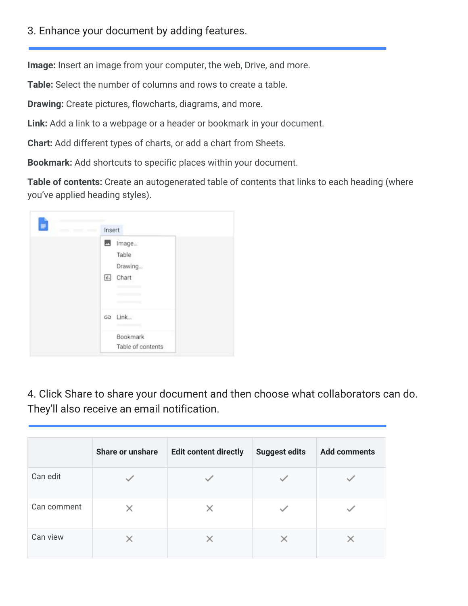## 3. Enhance your document by adding features.

**Image:** Insert an image from your computer, the web, Drive, and more.

**Table:** Select the number of columns and rows to create a table.

**Drawing:** Create pictures, flowcharts, diagrams, and more.

**Link:** Add a link to a webpage or a header or bookmark in your document.

**Chart:** Add different types of charts, or add a chart from Sheets.

**Bookmark:** Add shortcuts to specific places within your document.

**Table of contents:** Create an autogenerated table of contents that links to each heading (where you've applied heading styles).

| <b>COST</b> | Insert                           |
|-------------|----------------------------------|
|             | 四<br>Image<br>Table<br>Drawing   |
|             | $\overline{\mathbf{H}}$<br>Chart |
|             | Link<br>GD                       |
|             | Bookmark<br>Table of contents    |

4. Click Share to share your document and then choose what collaborators can do. They'll also receive an email notification.

|             | Share or unshare | <b>Edit content directly</b> | <b>Suggest edits</b> | <b>Add comments</b> |
|-------------|------------------|------------------------------|----------------------|---------------------|
| Can edit    |                  |                              |                      |                     |
| Can comment |                  |                              |                      |                     |
| Can view    |                  |                              |                      |                     |